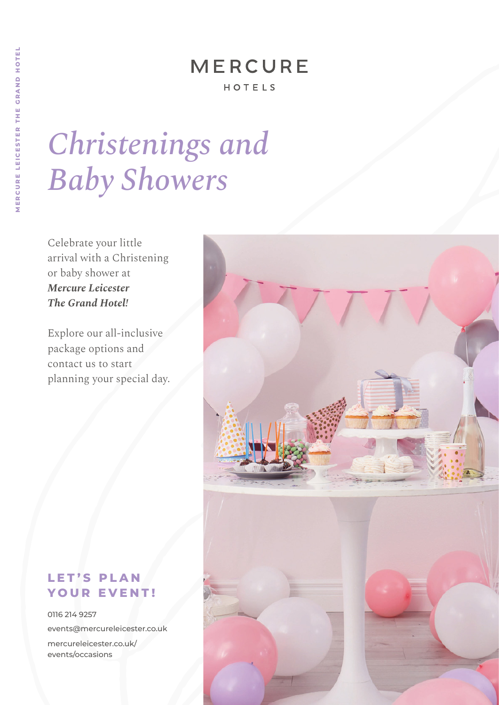## **MERCURE**

#### HOTELS

# *Christenings and Baby Showers*

Celebrate your little arrival with a Christening or baby shower at *Mercure Leicester The Grand Hotel!* 

Explore our all-inclusive package options and contact us to start planning your special day.



### LET'S PLAN **YOUR EVENT!**

0116 214 9257 events@mercureleicester.co.uk mercureleicester.co.uk/ events/occasions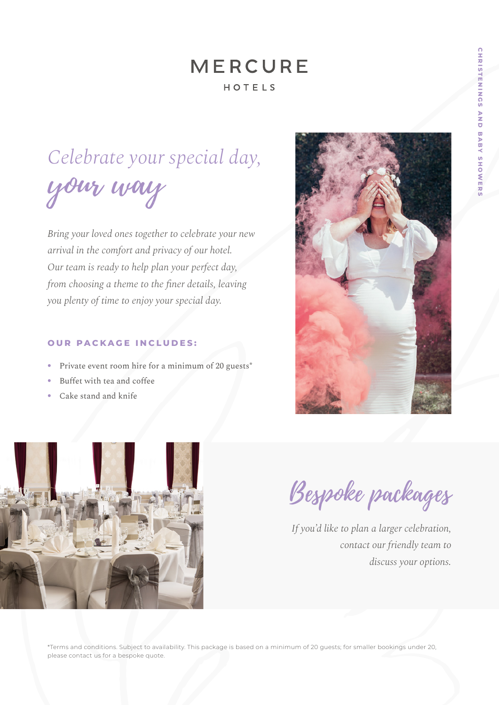### **MERCURE** HOTELS

# *Celebrate your special day,* your way

*Bring your loved ones together to celebrate your new arrival in the comfort and privacy of our hotel. Our team is ready to help plan your perfect day, from choosing a theme to the finer details, leaving you plenty of time to enjoy your special day.*

#### **OUR PACKAGE INCLUDES:**

- Private event room hire for a minimum of 20 guests<sup>\*</sup>
- Buffet with tea and coffee
- Cake stand and knife





Bespoke packages

*If you'd like to plan a larger celebration, contact our friendly team to discuss your options.*

\*Terms and conditions. Subject to availability. This package is based on a minimum of 20 guests; for smaller bookings under 20, please contact us for a bespoke quote.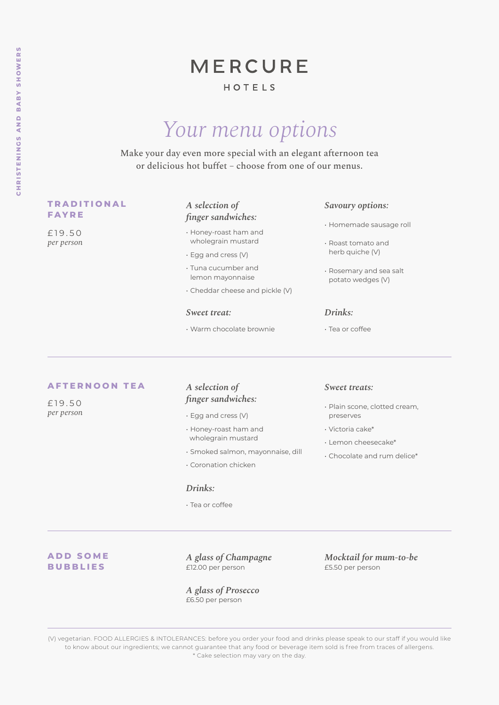### **MERCURE**

#### HOTELS

## *Your menu options*

Make your day even more special with an elegant afternoon tea or delicious hot buffet – choose from one of our menus.

#### **T R A D I T I O N A L FAYRE**

£ 1 9 . 5 0 *per person* 

#### *A selection of finger sandwiches:*

- Honey-roast ham and wholegrain mustard
- Egg and cress (V)
- Tuna cucumber and lemon mayonnaise
- Cheddar cheese and pickle (V)

#### *Sweet treat:*

• Warm chocolate brownie

#### *Savoury options:*

- Homemade sausage roll
- Roast tomato and herb quiche (V)
- Rosemary and sea salt potato wedges (V)

#### *Drinks:*

• Tea or coffee

#### **AFTERNOON TEA**

£ 1 9 . 5 0 *per person* 

#### *A selection of finger sandwiches:*

- Egg and cress (V)
- Honey-roast ham and wholegrain mustard
- Smoked salmon, mayonnaise, dill
- Coronation chicken

#### *Drinks:*

• Tea or coffee

#### *Sweet treats:*

- Plain scone, clotted cream, preserves
- Victoria cake\*
- Lemon cheesecake\*
- Chocolate and rum delice\*

#### **A D D S O M E BUBBLIES**

*A glass of Champagne*  £12.00 per person

*A glass of Prosecco* £6.50 per person

*Mocktail for mum-to-be* £5.50 per person

(V) vegetarian. FOOD ALLERGIES & INTOLERANCES: before you order your food and drinks please speak to our staff if you would like to know about our ingredients; we cannot guarantee that any food or beverage item sold is free from traces of allergens. \* Cake selection may vary on the day.